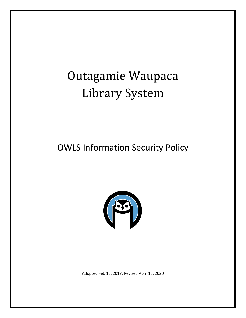# Outagamie Waupaca Library System

## OWLS Information Security Policy



Adopted Feb 16, 2017; Revised April 16, 2020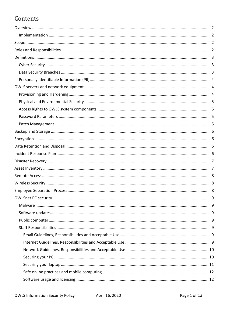### Contents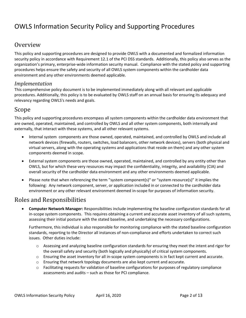### OWLS Information Security Policy and Supporting Procedures

### <span id="page-2-0"></span>**Overview**

This policy and supporting procedures are designed to provide OWLS with a documented and formalized information security policy in accordance with Requirement 12.1 of the PCI DSS standards. Additionally, this policy also serves as the organization's primary, enterprise-wide information security manual. Compliance with the stated policy and supporting procedures helps ensure the safety and security of all OWLS system components within the cardholder data environment and any other environments deemed applicable.

#### <span id="page-2-1"></span>*Implementation*

This comprehensive policy document is to be implemented immediately along with all relevant and applicable procedures. Additionally, this policy is to be evaluated by OWLS staff on an annual basis for ensuring its adequacy and relevancy regarding OWLS's needs and goals.

### <span id="page-2-2"></span>Scope

This policy and supporting procedures encompass all system components within the cardholder data environment that are owned, operated, maintained, and controlled by OWLS and all other system components, both internally and externally, that interact with these systems, and all other relevant systems.

- Internal system components are those owned, operated, maintained, and controlled by OWLS and include all network devices (firewalls, routers, switches, load balancers, other network devices), servers (both physical and virtual servers, along with the operating systems and applications that reside on them) and any other system components deemed in scope.
- External system components are those owned, operated, maintained, and controlled by any entity other than OWLS, but for which these very resources may impact the confidentiality, integrity, and availability (CIA) and overall security of the cardholder data environment and any other environments deemed applicable.
- Please note that when referencing the term "system component(s)" or "system resource(s)" it implies the following: Any network component, server, or application included in or connected to the cardholder data environment or any other relevant environment deemed in-scope for purposes of information security.

### <span id="page-2-3"></span>Roles and Responsibilities

• **Computer Network Manager:** Responsibilities include implementing the baseline configuration standards for all in-scope system components. This requires obtaining a current and accurate asset inventory of all such systems, assessing their initial posture with the stated baseline, and undertaking the necessary configurations.

Furthermore, this individual is also responsible for monitoring compliance with the stated baseline configuration standards, reporting to the Director all instances of non-compliance and efforts undertaken to correct such issues. Other duties include:

- $\circ$  Assessing and analyzing baseline configuration standards for ensuring they meet the intent and rigor for the overall safety and security (both logically and physically) of critical system components.
- $\circ$  Ensuring the asset inventory for all in-scope system components is in fact kept current and accurate.
- o Ensuring that network topology documents are also kept current and accurate.
- $\circ$  Facilitating requests for validation of baseline configurations for purposes of regulatory compliance assessments and audits – such as those for PCI compliance.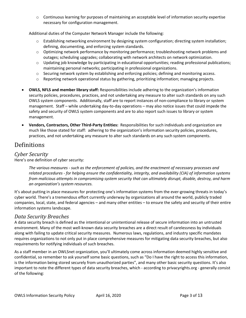o Continuous learning for purposes of maintaining an acceptable level of information security expertise necessary for configuration management.

Additional duties of the Computer Network Manager include the following:

- $\circ$  Establishing networking environment by designing system configuration; directing system installation; defining, documenting, and enforcing system standards.
- $\circ$  Optimizing network performance by monitoring performance; troubleshooting network problems and outages; scheduling upgrades; collaborating with network architects on network optimization.
- o Updating job knowledge by participating in educational opportunities; reading professional publications; maintaining personal networks; participating in professional organizations.
- o Securing network system by establishing and enforcing policies; defining and monitoring access.
- o Reporting network operational status by gathering, prioritizing information; managing projects.
- **OWLS, NFLS and member library staff:** Responsibilities include adhering to the organization's information security policies, procedures, practices, and not undertaking any measure to alter such standards on any such OWLS system components. Additionally, staff are to report instances of non-compliance to library or system management. Staff – while undertaking day-to-day operations – may also notice issues that could impede the safety and security of OWLS system components and are to also report such issues to library or system management.
- **Vendors, Contractors, Other Third-Party Entities:** Responsibilities for such individuals and organization are much like those stated for staff: adhering to the organization's information security policies, procedures, practices, and not undertaking any measure to alter such standards on any such system components.

### <span id="page-3-0"></span>Definitions

#### <span id="page-3-1"></span>*Cyber Security*

Here's one definition of cyber security:

*The various measures - such as the enforcement of policies, and the enactment of necessary processes and related procedures - for helping ensure the confidentiality, integrity, and availability (CIA) of information systems from malicious attempts in compromising system security that can ultimately disrupt, disable, destroy, and harm an organization's system resources.* 

It's about putting in place measures for protecting one's information systems from the ever-growing threats in today's cyber world. There's a tremendous effort currently underway by organizations all around the world, publicly traded companies, local, state, and federal agencies – and many other entities – to ensure the safety and security of their entire information systems landscape.

### <span id="page-3-2"></span>*Data Security Breaches*

A data security breach is defined as the intentional or unintentional release of secure information into an untrusted environment. Many of the most well-known data security breaches are a direct result of carelessness by individuals along with failing to update critical security measures. Numerous laws, regulations, and industry specific mandates requires organizations to not only put in place comprehensive measures for mitigating data security breaches, but also requirements for notifying individuals of such breaches.

As a staff member in an OWLSnet organization, you'll ultimately come across information deemed highly sensitive and confidential, so remember to ask yourself some basic questions, such as "Do I have the right to access this information, is the information being stored securely from unauthorized parties", and many other basic security questions. It's also important to note the different types of data security breaches, which - according to privacyrights.org - generally consist of the following: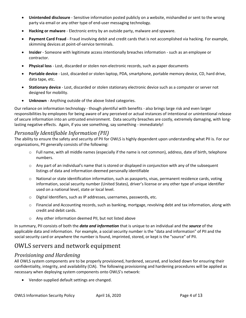- **Unintended disclosure** Sensitive information posted publicly on a website, mishandled or sent to the wrong party via email or any other type of end-user messaging technology.
- **Hacking or malware** Electronic entry by an outside party, malware and spyware.
- **Payment Card Fraud** Fraud involving debit and credit cards that is not accomplished via hacking. For example, skimming devices at point-of-service terminals.
- **Insider** Someone with legitimate access intentionally breaches information such as an employee or contractor.
- **Physical loss** Lost, discarded or stolen non-electronic records, such as paper documents
- **Portable device** Lost, discarded or stolen laptop, PDA, smartphone, portable memory device, CD, hard drive, data tape, etc.
- **Stationary device** Lost, discarded or stolen stationary electronic device such as a computer or server not designed for mobility.
- **Unknown** Anything outside of the above listed categories.

Our reliance on information technology - though plentiful with benefits - also brings large risk and even larger responsibilities by employees for being aware of any perceived or actual instances of intentional or unintentional release of secure information into an untrusted environment. Data security breaches are costly, extremely damaging, with longlasting negative effects. Again, if you see something, say something - immediately!

#### <span id="page-4-0"></span>*Personally Identifiable Information (PII)*

The ability to ensure the safety and security of PII for OWLS is highly dependent upon understanding what PII is. For our organizations, PII generally consists of the following:

- $\circ$  Full name, with all middle names (especially if the name is not common), address, date of birth, telephone numbers.
- o Any part of an individual's name that is stored or displayed in conjunction with any of the subsequent listings of data and information deemed personally identifiable
- o National or state identification information, such as passports, visas, permanent residence cards, voting information, social security number (United States), driver's license or any other type of unique identifier used on a national level, state or local level.
- o Digital Identifiers, such as IP addresses, usernames, passwords, etc.
- o Financial and Accounting records, such as banking, mortgage, revolving debt and tax information, along with credit and debit cards.
- o Any other information deemed PII, but not listed above

In summary, PII consists of both the *data and information* that is unique to an individual and the *source* of the applicable data and information. For example, a social security number is the "data and information" of PII and the social security card or anywhere the number is found, imprinted, stored, or kept is the "source" of PII.

### <span id="page-4-1"></span>OWLS servers and network equipment

### <span id="page-4-2"></span>*Provisioning and Hardening*

All OWLS system components are to be properly provisioned, hardened, secured, and locked down for ensuring their confidentiality, integrity, and availability (CIA). The following provisioning and hardening procedures will be applied as necessary when deploying system components onto OWLS's network:

• Vendor-supplied default settings are changed.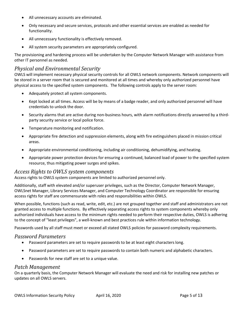- All unnecessary accounts are eliminated.
- Only necessary and secure services, protocols and other essential services are enabled as needed for functionality.
- All unnecessary functionality is effectively removed.
- All system security parameters are appropriately configured.

The provisioning and hardening process will be undertaken by the Computer Network Manager with assistance from other IT personnel as needed.

#### <span id="page-5-0"></span>*Physical and Environmental Security*

OWLS will implement necessary physical security controls for all OWLS network components. Network components will be stored in a server room that is secured and monitored at all times and whereby only authorized personnel have physical access to the specified system components. The following controls apply to the server room:

- Adequately protect all system components.
- Kept locked at all times. Access will be by means of a badge reader, and only authorized personnel will have credentials to unlock the door.
- Security alarms that are active during non-business hours, with alarm notifications directly answered by a thirdparty security service or local police force.
- Temperature monitoring and notification.
- Appropriate fire detection and suppression elements, along with fire extinguishers placed in mission critical areas.
- Appropriate environmental conditioning, including air conditioning, dehumidifying, and heating.
- Appropriate power protection devices for ensuring a continued, balanced load of power to the specified system resource, thus mitigating power surges and spikes.

#### <span id="page-5-1"></span>*Access Rights to OWLS system components*

Access rights to OWLS system components are limited to authorized personnel only.

Additionally, staff with elevated and/or superuser privileges, such as the Director, Computer Network Manager, OWLSnet Manager, Library Services Manager, and Computer Technology Coordinator are responsible for ensuring access rights for staff are commensurate with roles and responsibilities within OWLS.

When possible, functions (such as read, write, edit, etc.) are not grouped together and staff and administrators are not granted access to multiple functions. By effectively separating access rights to system components whereby only authorized individuals have access to the minimum rights needed to perform their respective duties, OWLS is adhering to the concept of "least privileges", a well-known and best practices rule within information technology.

Passwords used by all staff must meet or exceed all stated OWLS policies for password complexity requirements.

#### <span id="page-5-2"></span>*Password Parameters*

- Password parameters are set to require passwords to be at least eight characters long.
- Password parameters are set to require passwords to contain both numeric and alphabetic characters.
- Passwords for new staff are set to a unique value.

#### <span id="page-5-3"></span>*Patch Management*

On a quarterly basis, the Computer Network Manager will evaluate the need and risk for installing new patches or updates on all OWLS servers.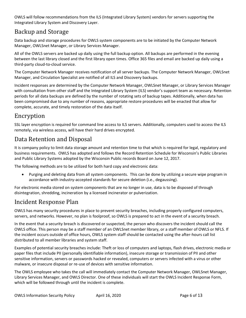OWLS will follow recommendations from the ILS (Integrated Library System) vendors for servers supporting the Integrated Library System and Discovery Layer.

### <span id="page-6-0"></span>Backup and Storage

Data backup and storage procedures for OWLS system components are to be initiated by the Computer Network Manager, OWLSnet Manager, or Library Services Manager.

All of the OWLS servers are backed up daily using the full backup option. All backups are performed in the evening between the last library closed and the first library open times. Office 365 files and email are backed up daily using a third-party cloud-to-cloud service.

The Computer Network Manager receives notification of all server backups. The Computer Network Manager, OWLSnet Manager, and Circulation Specialist are notified of all ILS and Discovery backups.

Incident responses are determined by the Computer Network Manager, OWLSnet Manager, or Library Services Manager with consultation from other staff and the Integrated Library System (ILS) vendor's support team as necessary. Retention periods for all data backups are defined by the number of rotating sets of backup tapes. Additionally, when data has been compromised due to any number of reasons, appropriate restore procedures will be enacted that allow for complete, accurate, and timely restoration of the data itself.

### <span id="page-6-1"></span>Encryption

SSL layer encryption is required for command line access to ILS servers. Additionally, computers used to access the ILS remotely, via wireless access, will have their hard drives encrypted.

### <span id="page-6-2"></span>Data Retention and Disposal

It is company policy to limit data storage amount and retention time to that which is required for legal, regulatory and business requirements. OWLS has adopted and follows the Record Retention Schedule for Wisconsin's Public Libraries and Public Library Systems adopted by the Wisconsin Public records Board on June 12, 2017.

The following methods are to be utilized for both hard copy and electronic data:

• Purging and deleting data from all system components. This can be done by utilizing a secure wipe program in accordance with industry-accepted standards for secure deletion (i.e., degaussing).

For electronic media stored on system components that are no longer in use, data is to be disposed of through disintegration, shredding, incineration by a licensed incinerator or pulverization.

### <span id="page-6-3"></span>Incident Response Plan

OWLS has many security procedures in place to prevent security breaches, including properly configured computers, servers, and networks. However, no plan is foolproof, so OWLS is prepared to act in the event of a security breach.

In the event that a security breach is discovered or suspected, the person who discovers the incident should call the OWLS office. This person may be a staff member of an OWLSnet member library, or a staff member of OWLS or NFLS. If the incident occurs outside of office hours, OWLS system staff should be contacted using the after-hours call list distributed to all member libraries and system staff.

Examples of potential security breaches include: Theft or loss of computers and laptops, flash drives, electronic media or paper files that include PII (personally identifiable information), insecure storage or transmission of PII and other sensitive information, servers or passwords hacked or revealed, computers or servers infected with a virus or other malware, or insecure disposal or re-use of devices with sensitive information.

The OWLS employee who takes the call will immediately contact the Computer Network Manager, OWLSnet Manager, Library Services Manager, and OWLS Director. One of these individuals will start the OWLS Incident Response Form, which will be followed through until the incident is complete.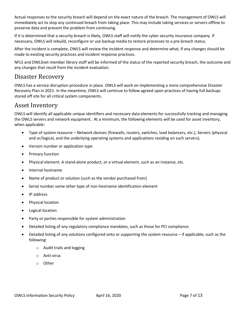Actual responses to the security breach will depend on the exact nature of the breach. The management of OWLS will immediately act to stop any continued breach from taking place. This may include taking services or servers offline to preserve data and prevent the problem from continuing.

If it is determined that a security breach is likely, OWLS staff will notify the cyber security insurance company. If necessary, OWLS will rebuild, reconfigure or use backup media to restore processes to a pre-breach status.

After the incident is complete, OWLS will review the incident response and determine what, if any changes should be made to existing security practices and incident response practices.

NFLS and OWLSnet member library staff will be informed of the status of the reported security breach, the outcome and any changes that result from the incident evaluation.

### <span id="page-7-0"></span>Disaster Recovery

OWLS has a service disruption procedure in place. OWLS will work on implementing a more comprehensive Disaster Recovery Plan in 2021. In the meantime, OWLS will continue to follow agreed upon practices of having full backups stored off site for all critical system components.

### <span id="page-7-1"></span>Asset Inventory

OWLS will identify all applicable unique identifiers and necessary data elements for successfully tracking and managing the OWLS servers and network equipment. At a minimum, the following elements will be used for asset inventory, when applicable:

- Type of system resource Network devices (firewalls, routers, switches, load balancers, etc.), Servers (physical and or/logical, and the underlying operating systems and applications residing on such servers).
- Version number or application type
- Primary function
- Physical element: A stand-alone product, or a virtual element, such as an instance, etc.
- Internal hostname
- Name of product or solution (such as the vendor purchased from)
- Serial number some other type of non-hostname identification element
- IP address
- Physical location
- Logical location
- Party or parties responsible for system administration
- Detailed listing of any regulatory compliance mandates, such as those for PCI compliance.
- Detailed listing of any solutions configured onto or supporting the system resource if applicable, such as the following:
	- o Audit trails and logging
	- o Anti-virus
	- o Other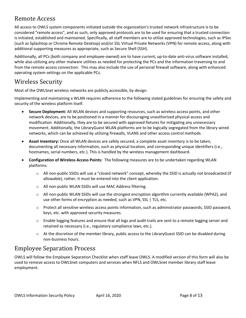### <span id="page-8-0"></span>Remote Access

All access to OWLS system components initiated outside the organization's trusted network infrastructure is to be considered "remote access", and as such, only approved protocols are to be used for ensuring that a trusted connection is initiated, established and maintained. Specifically, all staff members are to utilize approved technologies, such as IPSec (such as Splashtop or Chrome Remote Desktop) and/or SSL Virtual Private Networks (VPN) for remote access, along with additional supporting measures as appropriate, such as Secure Shell (SSH).

Additionally, all PCs (both company and employee-owned) are to have current, up-to-date anti-virus software installed, while also utilizing any other malware utilities as needed for protecting the PCs and the information traversing to and from the remote access connection. This may also include the use of personal firewall software, along with enhanced operating system settings on the applicable PCs.

### <span id="page-8-1"></span>Wireless Security

Most of the OWLSnet wireless networks are publicly accessible, by design.

Implementing and maintaining a WLAN requires adherence to the following stated guidelines for ensuring the safety and security of the wireless platform itself.

- **Secure Deployment:** All WLAN devices and supporting resources, such as wireless access points, and other network devices, are to be positioned in a manner for discouraging unauthorized physical access and modification. Additionally, they are to be secured with approved fixtures for mitigating any unnecessary movement. Additionally, the LibraryGuest WLAN platforms are to be logically segregated from the library wired networks, which can be achieved by utilizing firewalls, VLANS and other access control methods.
- **Asset Inventory:** Once all WLAN devices are safely secured, a complete asset inventory is to be taken, documenting all necessary information, such as physical location, and corresponding unique identifiers (i.e., hostnames, serial numbers, etc.). This is handled by the wireless management dashboard.
- **Configuration of Wireless Access Points:** The following measures are to be undertaken regarding WLAN platforms:
	- o All non-public SSIDs will use a "closed network" concept, whereby the SSID is actually not broadcasted (if allowable), rather, it must be entered into the client application.
	- o All non-public WLAN SSIDs will use MAC Address filtering.
	- o All non-public WLAN SSIDs will use the strongest encryption algorithm currently available (WPA2), and use other forms of encryption as needed, such as VPN, SSL | TLS, etc.
	- o Protect all sensitive wireless access points information, such as administrator passwords, SSID password, keys, etc. with approved security measures.
	- o Enable logging features and ensure that all logs and audit trails are sent to a remote logging server and retained as necessary (i.e., regulatory compliance laws, etc.).
	- o At the discretion of the member library, public access to the LibraryGuest SSID can be disabled during non-business hours.

### <span id="page-8-2"></span>Employee Separation Process

OWLS will follow the Employee Separation Checklist when staff leave OWLS. A modified version of this form will also be used to remove access to OWLSnet computers and services when NFLS and OWLSnet member library staff leave employment.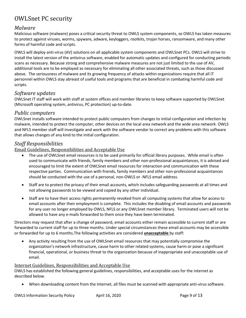### <span id="page-9-0"></span>OWLSnet PC security

#### <span id="page-9-1"></span>*Malware*

Malicious software (malware) poses a critical security threat to OWLS system components, so OWLS has taken measures to protect against viruses, worms, spyware, adware, keyloggers, rootkits, trojan horses, ransomware, and many other forms of harmful code and scripts.

OWLS will deploy anti-virus (AV) solutions on all applicable system components and OWLSnet PCs. OWLS will strive to install the latest version of the antivirus software, enabled for automatic updates and configured for conducting periodic scans as necessary. Because strong and comprehensive malware measures are not just limited to the use of AV, additional tools are to be employed as necessary for eliminating all other associated threats, such as those discussed above. The seriousness of malware and its growing frequency of attacks within organizations require that all IT personnel within OWLS stay abreast of useful tools and programs that are beneficial in combating harmful code and scripts.

#### <span id="page-9-2"></span>*Software updates*

OWLSnet IT staff will work with staff at system offices and member libraries to keep software supported by OWLSnet (Microsoft operating system, antivirus, PC protection) up-to-date.

#### <span id="page-9-3"></span>*Public computers*

OWLSnet installs software intended to protect public computers from changes to initial configuration and infection by malware, intended to protect the computer, other devices on the local area network and the wide area network. OWLS and NFLS member staff will investigate and work with the software vendor to correct any problems with this software that allows changes of any kind to the initial configuration.

#### <span id="page-9-4"></span>*Staff Responsibilities*

<span id="page-9-5"></span>Email Guidelines, Responsibilities and Acceptable Use

- The use of OWLSnet email resources is to be used primarily for official library purposes. While email is often used to communicate with friends, family members and other non-professional acquaintances, it is advised and encouraged to limit the extent of OWLSnet email resources for interaction and communication with these respective parties. Communication with friends, family members and other non-professional acquaintances should be conducted with the use of a personal, non-OWLS or -NFLS email address.
- Staff are to protect the privacy of their email accounts, which includes safeguarding passwords at all times and not allowing passwords to be viewed and copied by any other individual.
- Staff are to have their access rights permanently revoked from all computing systems that allow for access to email accounts after their employment is complete. This includes the disabling of email accounts and passwords for any user no longer employed by OWLS, NFLS or any OWLSnet member library. Terminated users will not be allowed to have any e-mails forwarded to them once they have been terminated.

Directors may request that after a change of password, email accounts either remain accessible to current staff or are forwarded to current staff for up to three months. Under special circumstances these email accounts may be accessible or forwarded for up to 6 months.The following activities are considered **unacceptable** by staff:

• Any activity resulting from the use of OWLSnet email resources that may potentially compromise the organization's network infrastructure, cause harm to other related systems, cause harm or pose a significant financial, operational, or business threat to the organization because of inappropriate and unacceptable use of email.

#### <span id="page-9-6"></span>Internet Guidelines, Responsibilities and Acceptable Use

OWLS has established the following general guidelines, responsibilities, and acceptable uses for the internet as described below.

• When downloading content from the Internet, all files must be scanned with appropriate anti-virus software.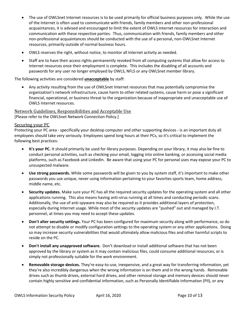- The use of OWLSnet Internet resources is to be used primarily for official business purposes only. While the use of the Internet is often used to communicate with friends, family members and other non-professional acquaintances, it is advised and encouraged to limit the extent of OWLS Internet resources for interaction and communication with these respective parties. Thus, communication with friends, family members and other non-professional acquaintances should be conducted with the use of a personal, non-OWLSnet Internet resources, primarily outside of normal business hours.
- OWLS reserves the right, without notice, to monitor all Internet activity as needed.
- Staff are to have their access rights permanently revoked from all computing systems that allow for access to Internet resources once their employment is complete. This includes the disabling of all accounts and passwords for any user no longer employed by OWLS, NFLS or any OWLSnet member library.

#### The following activities are considered **unacceptable** by staff:

• Any activity resulting from the use of OWLSnet Internet resources that may potentially compromise the organization's network infrastructure, cause harm to other related systems, cause harm or pose a significant financial, operational, or business threat to the organization because of inappropriate and unacceptable use of OWLS Internet resources.

### <span id="page-10-0"></span>Network Guidelines, Responsibilities and Acceptable Use

[Please refer to the OWLSnet Network Connection Policy.]

#### <span id="page-10-1"></span>Securing your PC

Protecting your PC area - specifically your desktop computer and other supporting devices - is an important duty all employees should take very seriously. Employees spend long hours at their PCs, so it's critical to implement the following best practices:

- **It's your PC.** It should primarily be used for library purposes. Depending on your library, it may also be fine to conduct personal activities, such as checking your email, logging into online banking, or accessing social media platforms, such as Facebook and LinkedIn. Be aware that using your PC for personal uses may expose your PC to unsuspected malware.
- **Use strong passwords.** While some passwords will be given to you by system staff, it's important to make other passwords you use unique, never using information pertaining to your favorites sports team, home address, middle name, etc.
- **Security updates.** Make sure your PC has all the required security updates for the operating system and all other applications running. This also means having anti-virus running at all times and conducting periodic scans. Additionally, the use of anti-spyware may also be required as it provides additional layers of protection, especially during Internet usage. While most of the security updates are "pushed" out and managed by I.T. personnel, at times you may need to accept these updates.
- **Don't alter security settings.** Your PC has been configured for maximum security along with performance, so do not attempt to disable or modify configuration settings to the operating system or any other applications. Doing so may increase security vulnerabilities that would ultimately allow malicious files and other harmful scripts to reside on the PC.
- **Don't install any unapproved software.** Don't download or install additional software that has not been approved by the library or system as it may contain malicious files, could consume additional resources, or is simply not professionally suitable for the work environment.
- **Removable storage devices.** They're easy-to-use, inexpensive, and a great way for transferring information, yet they're also incredibly dangerous when the wrong information is on them and in the wrong hands. Removable drives such as thumb drives, external hard drives, and other removal storage and memory devices should never contain highly sensitive and confidential information, such as Personally Identifiable Information (PII), or any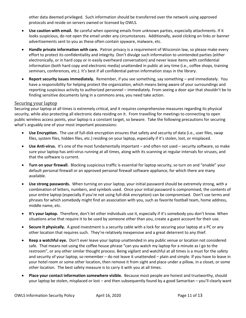other data deemed privileged. Such information should be transferred over the network using approved protocols and reside on servers owned or licensed by OWLS.

- **Use caution with email.** Be careful when opening emails from unknown parties, especially attachments. If it looks suspicious, do not open the email under any circumstances. Additionally, avoid clicking on links or banner advertisements sent to you as these often contain spyware, malware, etc.
- **Handle private information with care.** Patron privacy is a requirement of Wisconsin law, so please make every effort to protect its confidentiality and integrity. Don't divulge such information to unintended parties (either electronically, or in hard copy or in easily overheard conversation) and never leave items with confidential information (both hard copy and electronic media) unattended in public at any time (i.e., coffee shops, training seminars, conferences, etc.). It's best if all confidential patron information stays in the library.
- **Report security issues immediately.** Remember, if you see something, say something and immediately. You have a responsibility for helping protect the organization, which means being aware of your surroundings and reporting suspicious activity to authorized personnel – immediately. From seeing a door ajar that shouldn't be to finding sensitive documents lying in a commons area, you need take action.

#### <span id="page-11-0"></span>Securing your laptop

Securing your laptop at all times is extremely critical, and it requires comprehensive measures regarding its physical security, while also protecting all electronic data residing on it. From travelling for meetings to connecting to open public wireless access points, your laptop is a constant target, so beware. Take the following precautions for securing what's arguably one of your most important possessions:

- **Use Encryption.** The use of full-disk encryption ensures that safety and security of data (i.e., user files, swap files, system files, hidden files, etc.) residing on your laptop, especially if it's stolen, lost, or misplaced.
- **Use Anti-virus.** It's one of the most fundamentally important and often not used security software, so make sure your laptop has anti-virus running at all times, along with its scanning at regular intervals for viruses, and that the software is current.
- **Turn on your firewall.** Blocking suspicious traffic is essential for laptop security, so turn on and "enable" your default personal firewall or an approved personal firewall software appliance, for which there are many available.
- **Use strong passwords.** When turning on your laptop, your initial password should be extremely strong, with a combination of letters, numbers, and symbols used. Once your initial password is compromised, the contents of your entire laptop (especially if you're not using full-disk encryption) can be compromised. Don't use terms and phrases for which somebody might find an association with you, such as favorite football team, home address, middle name, etc.
- **It's your laptop.** Therefore, don't let other individuals use it, especially if it's somebody you don't know. When situations arise that require it to be used by someone other than you, create a guest account for their use.
- **Secure it physically.** A good investment is a security cable with a lock for securing your laptop at a PC or any other location that requires such. They're relatively inexpensive and a great deterrent to any thief.
- **Keep a watchful eye.** Don't ever leave your laptop unattended in any public venue or location not considered safe. That means not using the coffee house phrase "can you watch my laptop for a minute as I go to the restroom", or any other similar thought process. Being vigilant and watchful at all times is a must for the safety and security of your laptop, so remember – do not leave it unattended – plain and simple. If you have to leave in your hotel room or some other location, then remove it from sight and place under a pillow, in a closet, or some other location. The best safety measure is to carry it with you at all times.
- **Place your contact information somewhere visible.** Because most people are honest and trustworthy, should your laptop be stolen, misplaced or lost – and then subsequently found by a good Samaritan – you'll clearly want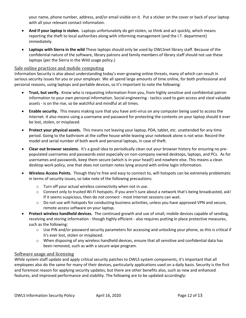your name, phone number, address, and/or email visible on it. Put a sticker on the cover or back of your laptop with all your relevant contact information.

- **And if your laptop is stolen.** Laptops unfortunately do get stolen, so think and act quickly, which means reporting the theft to local authorities along with informing management (and the I.T. department) immediately.
- **Laptops with Sierra in the wild** These laptops should only be used by OWLSnet library staff. Because of the confidential nature of the software, library patrons and family members of library staff should not use these laptops (per the Sierra in the Wild usage policy.)

#### <span id="page-12-0"></span>Safe online practices and mobile computing

Information Security is also about understanding today's ever-growing online threats, many of which can result in serious security issues for you or your employer. We all spend large amounts of time online, for both professional and personal reasons, using laptops and portable devices, so it's important to note the following:

- **Trust, but verify.** Know who is requesting information from you, from highly sensitive and confidential patron information to your own personal information. Social engineering - tactics used to gain access and steal valuable assets - is on the rise, so be watchful and mindful at all times.
- **Enable security.** This means making sure that you have anti-virus on any computer being used to access the Internet. It also means using a username and password for protecting the contents on your laptop should it ever be lost, stolen, or misplaced.
- **Protect your physical assets.** This means not leaving your laptop, PDA, tablet, etc. unattended for any time period. Going to the bathroom at the coffee house while leaving your notebook alone is not wise. Record the model and serial number of both work and personal laptops, in case of theft.
- **Clear out browser sessions.** It's a good idea to periodically clean out your browser history for ensuring no prepopulated usernames and passwords exist especially on non-company owned desktops, laptops, and PCs. As for usernames and passwords, keep them secure (which is in your head!) and nowhere else. This means a clean desktop work policy, one that does not contain notes lying around with online login information.
- **Wireless Access Points.** Though they're free and easy to connect to, wifi hotspots can be extremely problematic in terms of security issues, so take note of the following precautions:
	- o Turn off your actual wireless connectivity when not in use.
	- o Connect only to trusted Wi-Fi hotspots. If you aren't sure about a network that's being broadcasted, ask! If it seems suspicious, then do not connect - most Internet sessions can wait.
	- $\circ$  Do not use wifi hotspots for conducting business activities, unless you have approved VPN and secure, remote access software on your laptop.
- **Protect wireless handheld devices.** The continued growth and use of small, mobile devices capable of sending, receiving and storing information - though highly efficient - also requires putting in place protective measures, such as the following:
	- o Use PIN and/or password security parameters for accessing and unlocking your phone, as this is critical if it's ever lost, stolen or misplaced.
	- $\circ$  When disposing of any wireless handheld devices, ensure that all sensitive and confidential data has been removed, such as with a secure wipe program.

#### <span id="page-12-1"></span>Software usage and licensing

While system staff update and apply critical security patches to OWLS system components, it's important that all employees also do the same for many of their devices, particularly applications used on a daily basis. Security is the first and foremost reason for applying security updates, but there are other benefits also, such as new and enhanced features, and improved performance and stability. The following are to be updated accordingly: